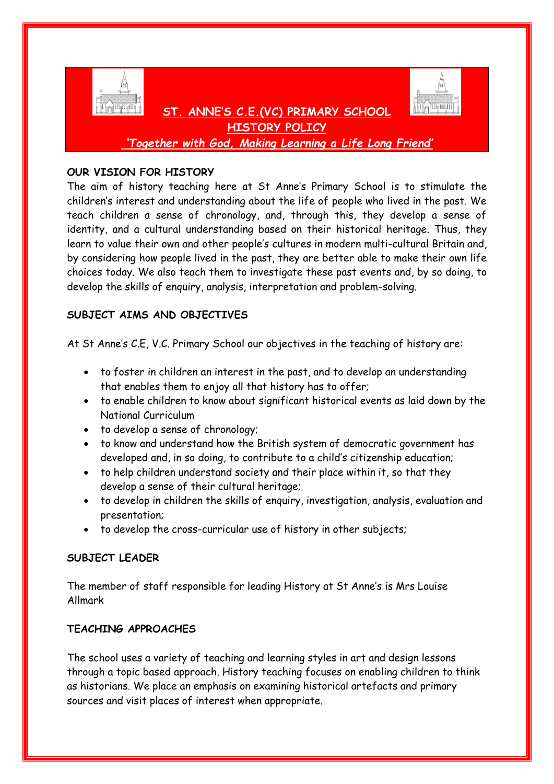

**HISTORY POLICY** *'Together with God, Making Learning a Life Long Friend'*

 **ST. ANNE'S C.E.(VC) PRIMARY SCHOOL** 

# **OUR VISION FOR HISTORY**

The aim of history teaching here at St Anne's Primary School is to stimulate the children's interest and understanding about the life of people who lived in the past. We teach children a sense of chronology, and, through this, they develop a sense of identity, and a cultural understanding based on their historical heritage. Thus, they learn to value their own and other people's cultures in modern multi-cultural Britain and, by considering how people lived in the past, they are better able to make their own life choices today. We also teach them to investigate these past events and, by so doing, to develop the skills of enquiry, analysis, interpretation and problem-solving.

# **SUBJECT AIMS AND OBJECTIVES**

At St Anne's C.E, V.C. Primary School our objectives in the teaching of history are:

- to foster in children an interest in the past, and to develop an understanding that enables them to enjoy all that history has to offer;
- to enable children to know about significant historical events as laid down by the National Curriculum
- to develop a sense of chronology;
- to know and understand how the British system of democratic government has developed and, in so doing, to contribute to a child's citizenship education;
- to help children understand society and their place within it, so that they develop a sense of their cultural heritage;
- to develop in children the skills of enquiry, investigation, analysis, evaluation and presentation;
- to develop the cross-curricular use of history in other subjects;

## **SUBJECT LEADER**

The member of staff responsible for leading History at St Anne's is Mrs Louise Allmark

## **TEACHING APPROACHES**

The school uses a variety of teaching and learning styles in art and design lessons through a topic based approach. History teaching focuses on enabling children to think as historians. We place an emphasis on examining historical artefacts and primary sources and visit places of interest when appropriate.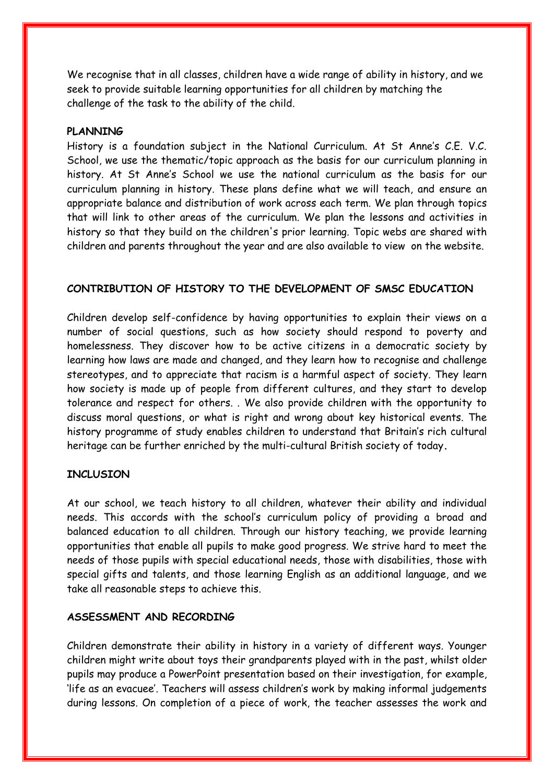We recognise that in all classes, children have a wide range of ability in history, and we seek to provide suitable learning opportunities for all children by matching the challenge of the task to the ability of the child.

#### **PLANNING**

History is a foundation subject in the National Curriculum. At St Anne's C.E. V.C. School, we use the thematic/topic approach as the basis for our curriculum planning in history. At St Anne's School we use the national curriculum as the basis for our curriculum planning in history. These plans define what we will teach, and ensure an appropriate balance and distribution of work across each term. We plan through topics that will link to other areas of the curriculum. We plan the lessons and activities in history so that they build on the children's prior learning. Topic webs are shared with children and parents throughout the year and are also available to view on the website.

### **CONTRIBUTION OF HISTORY TO THE DEVELOPMENT OF SMSC EDUCATION**

Children develop self-confidence by having opportunities to explain their views on a number of social questions, such as how society should respond to poverty and homelessness. They discover how to be active citizens in a democratic society by learning how laws are made and changed, and they learn how to recognise and challenge stereotypes, and to appreciate that racism is a harmful aspect of society. They learn how society is made up of people from different cultures, and they start to develop tolerance and respect for others. . We also provide children with the opportunity to discuss moral questions, or what is right and wrong about key historical events. The history programme of study enables children to understand that Britain's rich cultural heritage can be further enriched by the multi-cultural British society of today**.**

### **INCLUSION**

At our school, we teach history to all children, whatever their ability and individual needs. This accords with the school's curriculum policy of providing a broad and balanced education to all children. Through our history teaching, we provide learning opportunities that enable all pupils to make good progress. We strive hard to meet the needs of those pupils with special educational needs, those with disabilities, those with special gifts and talents, and those learning English as an additional language, and we take all reasonable steps to achieve this.

### **ASSESSMENT AND RECORDING**

Children demonstrate their ability in history in a variety of different ways. Younger children might write about toys their grandparents played with in the past, whilst older pupils may produce a PowerPoint presentation based on their investigation, for example, 'life as an evacuee'. Teachers will assess children's work by making informal judgements during lessons. On completion of a piece of work, the teacher assesses the work and